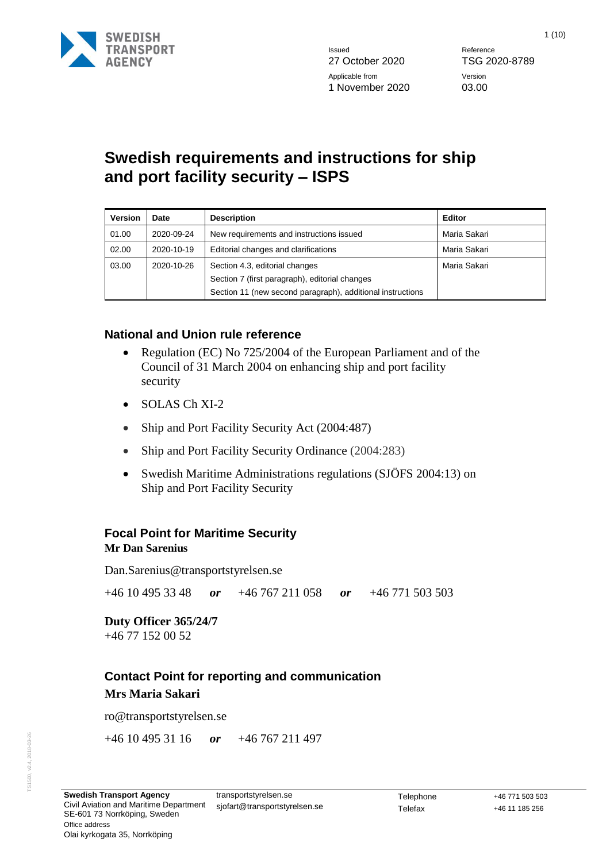

1 (10)

# **Swedish requirements and instructions for ship and port facility security – ISPS**

| <b>Version</b> | Date       | <b>Description</b>                                                                                                                             | <b>Editor</b> |
|----------------|------------|------------------------------------------------------------------------------------------------------------------------------------------------|---------------|
| 01.00          | 2020-09-24 | New requirements and instructions issued                                                                                                       | Maria Sakari  |
| 02.00          | 2020-10-19 | Editorial changes and clarifications                                                                                                           | Maria Sakari  |
| 03.00          | 2020-10-26 | Section 4.3, editorial changes<br>Section 7 (first paragraph), editorial changes<br>Section 11 (new second paragraph), additional instructions | Maria Sakari  |

### **National and Union rule reference**

- Regulation (EC) No 725/2004 of the European Parliament and of the Council of 31 March 2004 on enhancing ship and port facility security
- SOLAS Ch XI-2
- Ship and Port Facility Security Act (2004:487)
- Ship and Port Facility Security Ordinance (2004:283)
- Swedish Maritime Administrations regulations (SJÖFS 2004:13) on Ship and Port Facility Security

### **Focal Point for Maritime Security Mr Dan Sarenius**

[Dan.Sarenius@transportstyrelsen.se](mailto:Dan.Sarenius@transportstyrelsen.se)

+46 10 495 33 48 *or* +46 767 211 058 *or* +46 771 503 503

**Duty Officer 365/24/7** +46 77 152 00 52

### **Contact Point for reporting and communication Mrs Maria Sakari**

ro@transportstyrelsen.se

+46 10 495 31 16 *or* +46 767 211 497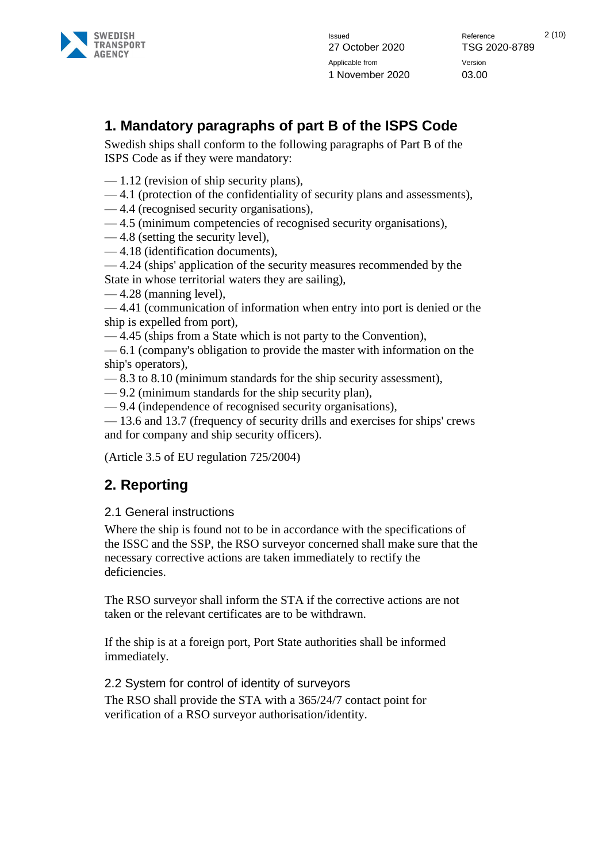

Issued 2 (10) Version 03.00

# **1. Mandatory paragraphs of part B of the ISPS Code**

Swedish ships shall conform to the following paragraphs of Part B of the ISPS Code as if they were mandatory:

- 1.12 (revision of ship security plans),
- 4.1 (protection of the confidentiality of security plans and assessments),
- 4.4 (recognised security organisations),
- 4.5 (minimum competencies of recognised security organisations),
- 4.8 (setting the security level),
- 4.18 (identification documents),

— 4.24 (ships' application of the security measures recommended by the State in whose territorial waters they are sailing),

— 4.28 (manning level),

— 4.41 (communication of information when entry into port is denied or the ship is expelled from port),

— 4.45 (ships from a State which is not party to the Convention),

— 6.1 (company's obligation to provide the master with information on the ship's operators),

- 8.3 to 8.10 (minimum standards for the ship security assessment),
- 9.2 (minimum standards for the ship security plan),
- 9.4 (independence of recognised security organisations),

— 13.6 and 13.7 (frequency of security drills and exercises for ships' crews and for company and ship security officers).

(Article 3.5 of EU regulation 725/2004)

# **2. Reporting**

### 2.1 General instructions

Where the ship is found not to be in accordance with the specifications of the ISSC and the SSP, the RSO surveyor concerned shall make sure that the necessary corrective actions are taken immediately to rectify the deficiencies.

The RSO surveyor shall inform the STA if the corrective actions are not taken or the relevant certificates are to be withdrawn.

If the ship is at a foreign port, Port State authorities shall be informed immediately.

2.2 System for control of identity of surveyors

The RSO shall provide the STA with a 365/24/7 contact point for verification of a RSO surveyor authorisation/identity.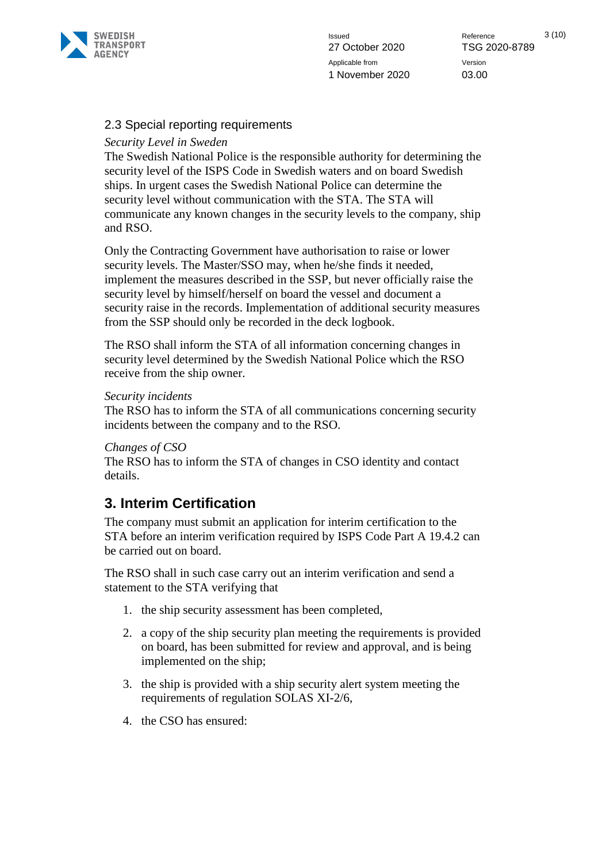

Issued **Reference** 3 (10) Version 03.00

#### 2.3 Special reporting requirements

*Security Level in Sweden*

The Swedish National Police is the responsible authority for determining the security level of the ISPS Code in Swedish waters and on board Swedish ships. In urgent cases the Swedish National Police can determine the security level without communication with the STA. The STA will communicate any known changes in the security levels to the company, ship and RSO.

Only the Contracting Government have authorisation to raise or lower security levels. The Master/SSO may, when he/she finds it needed, implement the measures described in the SSP, but never officially raise the security level by himself/herself on board the vessel and document a security raise in the records. Implementation of additional security measures from the SSP should only be recorded in the deck logbook.

The RSO shall inform the STA of all information concerning changes in security level determined by the Swedish National Police which the RSO receive from the ship owner.

#### *Security incidents*

The RSO has to inform the STA of all communications concerning security incidents between the company and to the RSO.

#### *Changes of CSO*

The RSO has to inform the STA of changes in CSO identity and contact details.

# **3. Interim Certification**

The company must submit an application for interim certification to the STA before an interim verification required by ISPS Code Part A 19.4.2 can be carried out on board.

The RSO shall in such case carry out an interim verification and send a statement to the STA verifying that

- 1. the ship security assessment has been completed,
- 2. a copy of the ship security plan meeting the requirements is provided on board, has been submitted for review and approval, and is being implemented on the ship;
- 3. the ship is provided with a ship security alert system meeting the requirements of regulation SOLAS XI-2/6,
- 4. the CSO has ensured: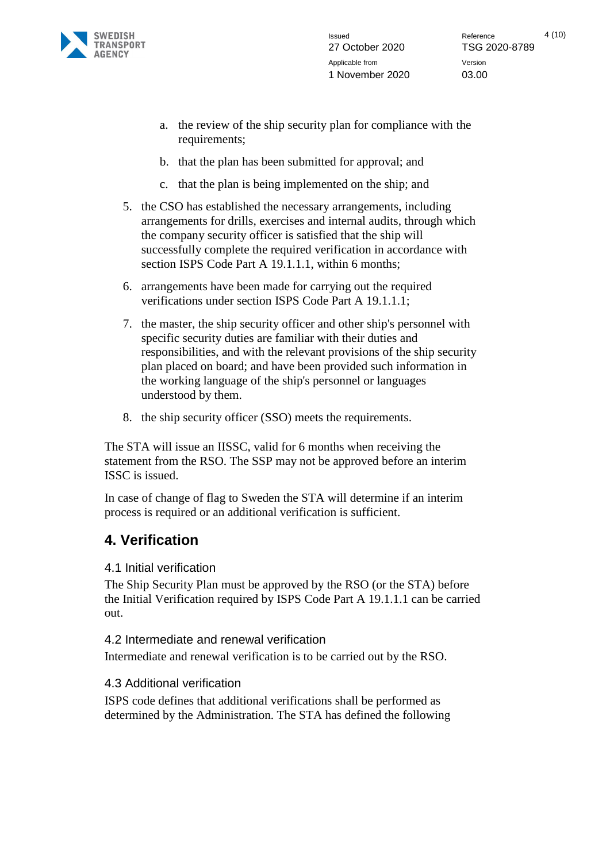

- a. the review of the ship security plan for compliance with the requirements;
- b. that the plan has been submitted for approval; and
- c. that the plan is being implemented on the ship; and
- 5. the CSO has established the necessary arrangements, including arrangements for drills, exercises and internal audits, through which the company security officer is satisfied that the ship will successfully complete the required verification in accordance with section ISPS Code Part A 19.1.1.1, within 6 months;
- 6. arrangements have been made for carrying out the required verifications under section ISPS Code Part A 19.1.1.1;
- 7. the master, the ship security officer and other ship's personnel with specific security duties are familiar with their duties and responsibilities, and with the relevant provisions of the ship security plan placed on board; and have been provided such information in the working language of the ship's personnel or languages understood by them.
- 8. the ship security officer (SSO) meets the requirements.

The STA will issue an IISSC, valid for 6 months when receiving the statement from the RSO. The SSP may not be approved before an interim ISSC is issued.

In case of change of flag to Sweden the STA will determine if an interim process is required or an additional verification is sufficient.

### **4. Verification**

### 4.1 Initial verification

The Ship Security Plan must be approved by the RSO (or the STA) before the Initial Verification required by ISPS Code Part A 19.1.1.1 can be carried out.

4.2 Intermediate and renewal verification

Intermediate and renewal verification is to be carried out by the RSO.

### 4.3 Additional verification

ISPS code defines that additional verifications shall be performed as determined by the Administration. The STA has defined the following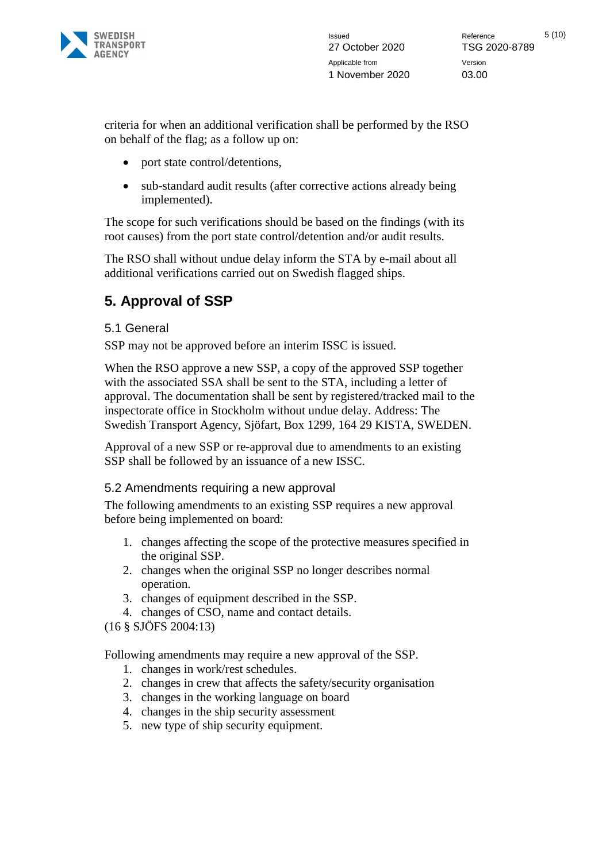

Issued **Reference** 5 (10) Version 03.00

criteria for when an additional verification shall be performed by the RSO on behalf of the flag; as a follow up on:

- port state control/detentions,
- sub-standard audit results (after corrective actions already being implemented).

The scope for such verifications should be based on the findings (with its root causes) from the port state control/detention and/or audit results.

The RSO shall without undue delay inform the STA by e-mail about all additional verifications carried out on Swedish flagged ships.

# **5. Approval of SSP**

### 5.1 General

SSP may not be approved before an interim ISSC is issued.

When the RSO approve a new SSP, a copy of the approved SSP together with the associated SSA shall be sent to the STA, including a letter of approval. The documentation shall be sent by registered/tracked mail to the inspectorate office in Stockholm without undue delay. Address: The Swedish Transport Agency, Sjöfart, Box 1299, 164 29 KISTA, SWEDEN.

Approval of a new SSP or re-approval due to amendments to an existing SSP shall be followed by an issuance of a new ISSC.

### 5.2 Amendments requiring a new approval

The following amendments to an existing SSP requires a new approval before being implemented on board:

- 1. changes affecting the scope of the protective measures specified in the original SSP.
- 2. changes when the original SSP no longer describes normal operation.
- 3. changes of equipment described in the SSP.
- 4. changes of CSO, name and contact details.
- (16 § SJÖFS 2004:13)

Following amendments may require a new approval of the SSP.

- 1. changes in work/rest schedules.
- 2. changes in crew that affects the safety/security organisation
- 3. changes in the working language on board
- 4. changes in the ship security assessment
- 5. new type of ship security equipment.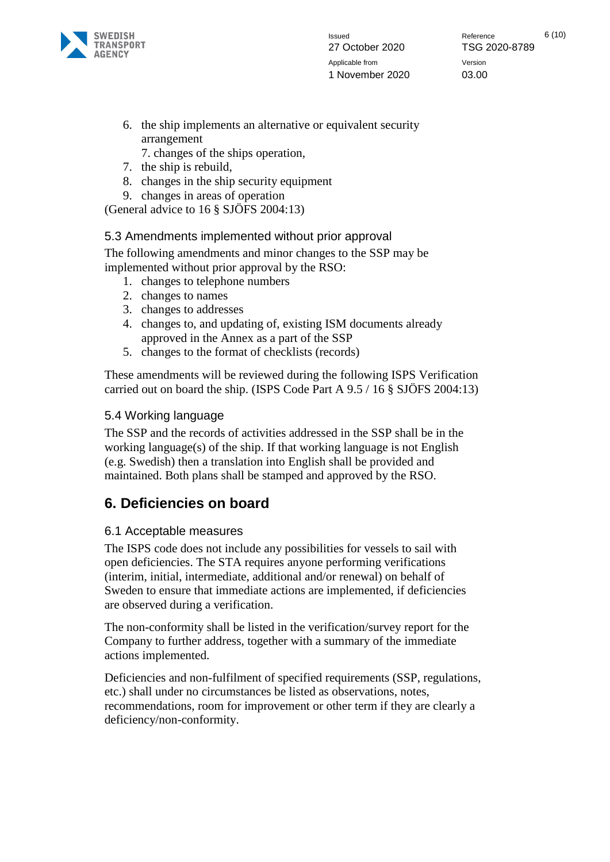

- 6. the ship implements an alternative or equivalent security arrangement
	- 7. changes of the ships operation,
- 7. the ship is rebuild,
- 8. changes in the ship security equipment
- 9. changes in areas of operation

(General advice to 16 § SJÖFS 2004:13)

#### 5.3 Amendments implemented without prior approval

The following amendments and minor changes to the SSP may be implemented without prior approval by the RSO:

- 1. changes to telephone numbers
- 2. changes to names
- 3. changes to addresses
- 4. changes to, and updating of, existing ISM documents already approved in the Annex as a part of the SSP
- 5. changes to the format of checklists (records)

These amendments will be reviewed during the following ISPS Verification carried out on board the ship. (ISPS Code Part A 9.5 / 16 § SJÖFS 2004:13)

#### 5.4 Working language

The SSP and the records of activities addressed in the SSP shall be in the working language(s) of the ship. If that working language is not English (e.g. Swedish) then a translation into English shall be provided and maintained. Both plans shall be stamped and approved by the RSO.

# **6. Deficiencies on board**

### 6.1 Acceptable measures

The ISPS code does not include any possibilities for vessels to sail with open deficiencies. The STA requires anyone performing verifications (interim, initial, intermediate, additional and/or renewal) on behalf of Sweden to ensure that immediate actions are implemented, if deficiencies are observed during a verification.

The non-conformity shall be listed in the verification/survey report for the Company to further address, together with a summary of the immediate actions implemented.

Deficiencies and non-fulfilment of specified requirements (SSP, regulations, etc.) shall under no circumstances be listed as observations, notes, recommendations, room for improvement or other term if they are clearly a deficiency/non-conformity.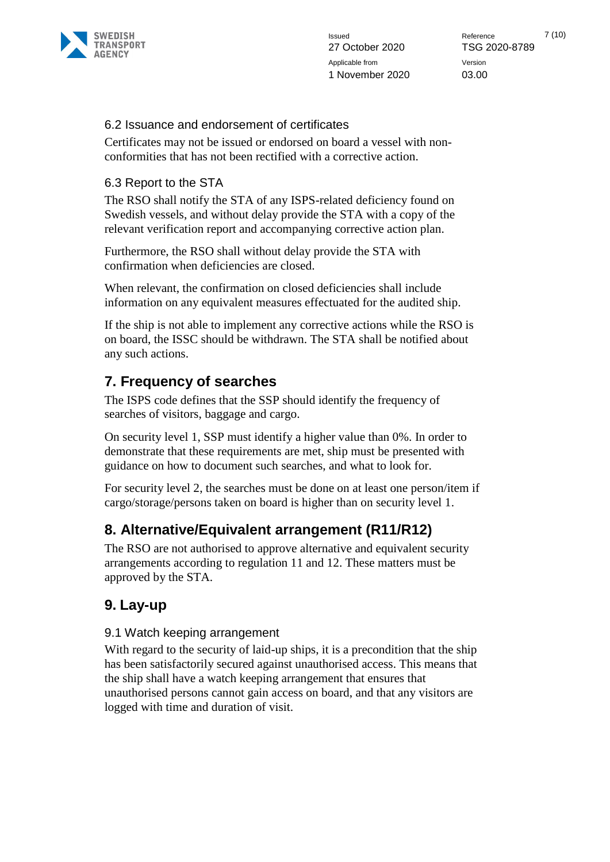

27 October 2020 TSG 2020-8789 Applicable from 1 November 2020

Issued **Reference** 7 (10) Version 03.00

### 6.2 Issuance and endorsement of certificates

Certificates may not be issued or endorsed on board a vessel with nonconformities that has not been rectified with a corrective action.

### 6.3 Report to the STA

The RSO shall notify the STA of any ISPS-related deficiency found on Swedish vessels, and without delay provide the STA with a copy of the relevant verification report and accompanying corrective action plan.

Furthermore, the RSO shall without delay provide the STA with confirmation when deficiencies are closed.

When relevant, the confirmation on closed deficiencies shall include information on any equivalent measures effectuated for the audited ship.

If the ship is not able to implement any corrective actions while the RSO is on board, the ISSC should be withdrawn. The STA shall be notified about any such actions.

# **7. Frequency of searches**

The ISPS code defines that the SSP should identify the frequency of searches of visitors, baggage and cargo.

On security level 1, SSP must identify a higher value than 0%. In order to demonstrate that these requirements are met, ship must be presented with guidance on how to document such searches, and what to look for.

For security level 2, the searches must be done on at least one person/item if cargo/storage/persons taken on board is higher than on security level 1.

# **8. Alternative/Equivalent arrangement (R11/R12)**

The RSO are not authorised to approve alternative and equivalent security arrangements according to regulation 11 and 12. These matters must be approved by the STA.

# **9. Lay-up**

### 9.1 Watch keeping arrangement

With regard to the security of laid-up ships, it is a precondition that the ship has been satisfactorily secured against unauthorised access. This means that the ship shall have a watch keeping arrangement that ensures that unauthorised persons cannot gain access on board, and that any visitors are logged with time and duration of visit.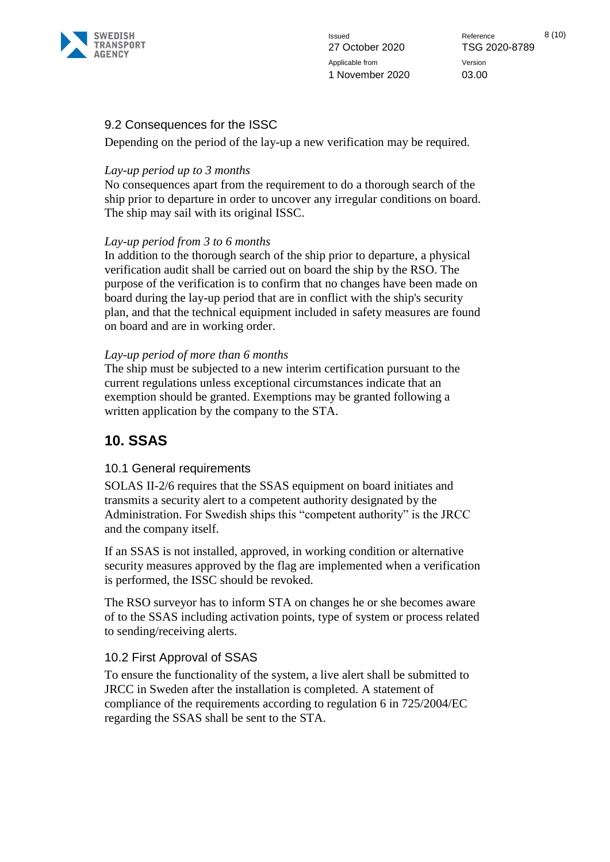

Issued 8 (10) Version 03.00

### 9.2 Consequences for the ISSC

Depending on the period of the lay-up a new verification may be required.

#### *Lay-up period up to 3 months*

No consequences apart from the requirement to do a thorough search of the ship prior to departure in order to uncover any irregular conditions on board. The ship may sail with its original ISSC.

#### *Lay-up period from 3 to 6 months*

In addition to the thorough search of the ship prior to departure, a physical verification audit shall be carried out on board the ship by the RSO. The purpose of the verification is to confirm that no changes have been made on board during the lay-up period that are in conflict with the ship's security plan, and that the technical equipment included in safety measures are found on board and are in working order.

### *Lay-up period of more than 6 months*

The ship must be subjected to a new interim certification pursuant to the current regulations unless exceptional circumstances indicate that an exemption should be granted. Exemptions may be granted following a written application by the company to the STA.

# **10. SSAS**

### 10.1 General requirements

SOLAS II-2/6 requires that the SSAS equipment on board initiates and transmits a security alert to a competent authority designated by the Administration. For Swedish ships this "competent authority" is the JRCC and the company itself.

If an SSAS is not installed, approved, in working condition or alternative security measures approved by the flag are implemented when a verification is performed, the ISSC should be revoked.

The RSO surveyor has to inform STA on changes he or she becomes aware of to the SSAS including activation points, type of system or process related to sending/receiving alerts.

### 10.2 First Approval of SSAS

To ensure the functionality of the system, a live alert shall be submitted to JRCC in Sweden after the installation is completed. A statement of compliance of the requirements according to regulation 6 in 725/2004/EC regarding the SSAS shall be sent to the STA.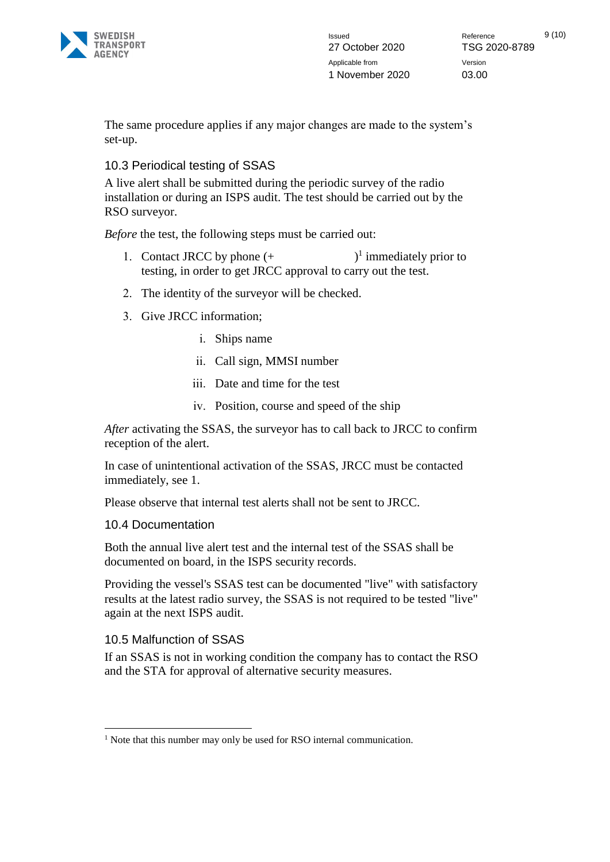

Issued 9 (10) Version 03.00

The same procedure applies if any major changes are made to the system's set-up.

10.3 Periodical testing of SSAS

A live alert shall be submitted during the periodic survey of the radio installation or during an ISPS audit. The test should be carried out by the RSO surveyor.

*Before* the test, the following steps must be carried out:

- 1. Contact JRCC by phone  $(+$ <sup>1</sup> immediately prior to testing, in order to get JRCC approval to carry out the test.
- 2. The identity of the surveyor will be checked.
- 3. Give JRCC information;
	- i. Ships name
	- ii. Call sign, MMSI number
	- iii. Date and time for the test
	- iv. Position, course and speed of the ship

*After* activating the SSAS, the surveyor has to call back to JRCC to confirm reception of the alert.

In case of unintentional activation of the SSAS, JRCC must be contacted immediately, see 1.

Please observe that internal test alerts shall not be sent to JRCC.

#### 10.4 Documentation

Both the annual live alert test and the internal test of the SSAS shall be documented on board, in the ISPS security records.

Providing the vessel's SSAS test can be documented "live" with satisfactory results at the latest radio survey, the SSAS is not required to be tested "live" again at the next ISPS audit.

#### 10.5 Malfunction of SSAS

If an SSAS is not in working condition the company has to contact the RSO and the STA for approval of alternative security measures.

<sup>&</sup>lt;sup>1</sup> Note that this number may only be used for RSO internal communication.